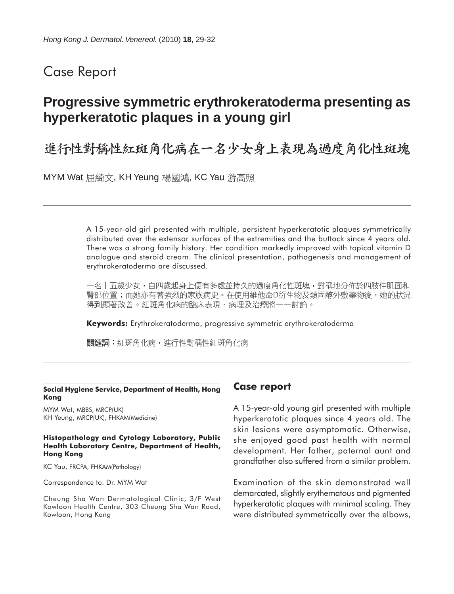## Case Report

# **Progressive symmetric erythrokeratoderma presenting as hyperkeratotic plaques in a young girl**

進行性對稱性紅斑角化病在一名少女身上表現為過度角化性斑塊

MYM Wat 屈綺文, KH Yeung 楊國鴻, KC Yau 游高照

A 15-year-old girl presented with multiple, persistent hyperkeratotic plaques symmetrically distributed over the extensor surfaces of the extremities and the buttock since 4 years old. There was a strong family history. Her condition markedly improved with topical vitamin D analogue and steroid cream. The clinical presentation, pathogenesis and management of erythrokeratoderma are discussed.

一名十五歲少女,自四歲起身上便有多處並持久的過度角化性斑塊,對稱地分佈於四肢伸肌面和 臀部位置;而她亦有著強烈的家族病史。在使用維他命D衍生物及類固醇外敷藥物後,她的狀況 得到顯著改善。紅斑角化病的臨床表現、病理及治療將一一討論。

**Keywords:** Erythrokeratoderma, progressive symmetric erythrokeratoderma

關鍵詞:紅斑角化病,進行性對稱性紅斑角化病

#### **Social Hygiene Service, Department of Health, Hong Kong**

MYM Wat, MBBS, MRCP(UK) KH Yeung, MRCP(UK), FHKAM(Medicine)

#### **Histopathology and Cytology Laboratory, Public Health Laboratory Centre, Department of Health, Hong Kong**

KC Yau, FRCPA, FHKAM(Pathology)

Correspondence to: Dr. MYM Wat

Cheung Sha Wan Dermatological Clinic, 3/F West Kowloon Health Centre, 303 Cheung Sha Wan Road, Kowloon, Hong Kong

### **Case report**

A 15-year-old young girl presented with multiple hyperkeratotic plaques since 4 years old. The skin lesions were asymptomatic. Otherwise, she enjoyed good past health with normal development. Her father, paternal aunt and grandfather also suffered from a similar problem.

Examination of the skin demonstrated well demarcated, slightly erythematous and pigmented hyperkeratotic plaques with minimal scaling. They were distributed symmetrically over the elbows,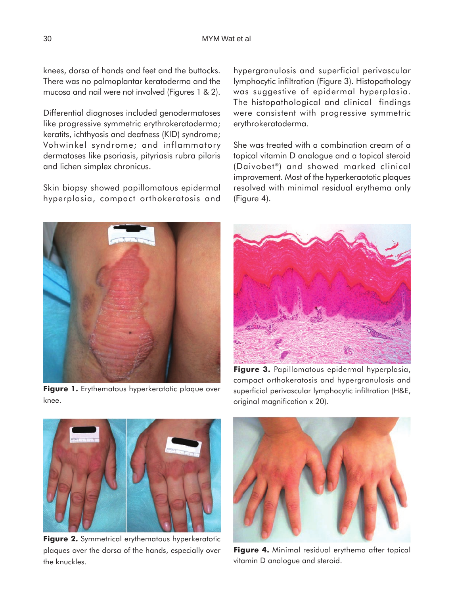knees, dorsa of hands and feet and the buttocks. There was no palmoplantar keratoderma and the mucosa and nail were not involved (Figures 1 & 2).

Differential diagnoses included genodermatoses like progressive symmetric erythrokeratoderma; keratits, ichthyosis and deafness (KID) syndrome; Vohwinkel syndrome; and inflammatory dermatoses like psoriasis, pityriasis rubra pilaris and lichen simplex chronicus.

Skin biopsy showed papillomatous epidermal hyperplasia, compact orthokeratosis and hypergranulosis and superficial perivascular lymphocytic infiltration (Figure 3). Histopathology was suggestive of epidermal hyperplasia. The histopathological and clinical findings were consistent with progressive symmetric erythrokeratoderma.

She was treated with a combination cream of a topical vitamin D analogue and a topical steroid (Daivobet®) and showed marked clinical improvement. Most of the hyperkeraototic plaques resolved with minimal residual erythema only (Figure 4).



Figure 1. Erythematous hyperkeratotic plaque over knee.



**Figure 3.** Papillomatous epidermal hyperplasia, compact orthokeratosis and hypergranulosis and superficial perivascular lymphocytic infiltration (H&E, original magnification x 20).



**Figure 2.** Symmetrical erythematous hyperkeratotic plaques over the dorsa of the hands, especially over the knuckles.



**Figure 4.** Minimal residual erythema after topical vitamin D analogue and steroid.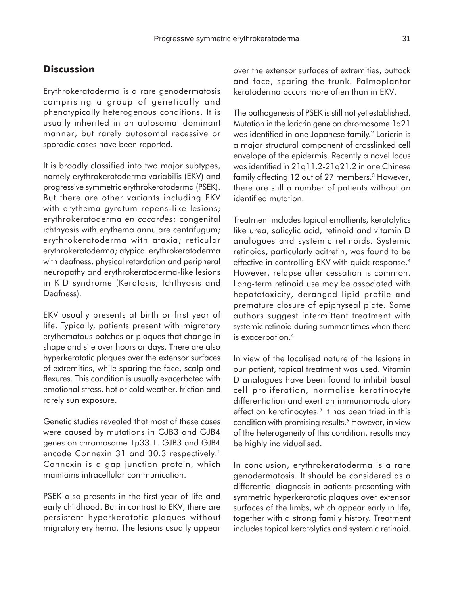### **Discussion**

Erythrokeratoderma is a rare genodermatosis comprising a group of genetically and phenotypically heterogenous conditions. It is usually inherited in an autosomal dominant manner, but rarely autosomal recessive or sporadic cases have been reported.

It is broadly classified into two major subtypes, namely erythrokeratoderma variabilis (EKV) and progressive symmetric erythrokeratoderma (PSEK). But there are other variants including EKV with erythema gyratum repens-like lesions; erythrokeratoderma *en cocardes*; congenital ichthyosis with erythema annulare centrifugum; erythrokeratoderma with ataxia; reticular erythrokeratoderma; atypical erythrokeratoderma with deafness, physical retardation and peripheral neuropathy and erythrokeratoderma-like lesions in KID syndrome (Keratosis, Ichthyosis and Deafness).

EKV usually presents at birth or first year of life. Typically, patients present with migratory erythematous patches or plaques that change in shape and site over hours or days. There are also hyperkeratotic plaques over the extensor surfaces of extremities, while sparing the face, scalp and flexures. This condition is usually exacerbated with emotional stress, hot or cold weather, friction and rarely sun exposure.

Genetic studies revealed that most of these cases were caused by mutations in GJB3 and GJB4 genes on chromosome 1p33.1. GJB3 and GJB4 encode Connexin 31 and 30.3 respectively.<sup>1</sup> Connexin is a gap junction protein, which maintains intracellular communication.

PSEK also presents in the first year of life and early childhood. But in contrast to EKV, there are persistent hyperkeratotic plaques without migratory erythema. The lesions usually appear

over the extensor surfaces of extremities, buttock and face, sparing the trunk. Palmoplantar keratoderma occurs more often than in EKV.

The pathogenesis of PSEK is still not yet established. Mutation in the loricrin gene on chromosome 1q21 was identified in one Japanese family.<sup>2</sup> Loricrin is a major structural component of crosslinked cell envelope of the epidermis. Recently a novel locus was identified in 21q11.2-21q21.2 in one Chinese family affecting 12 out of 27 members.<sup>3</sup> However, there are still a number of patients without an identified mutation.

Treatment includes topical emollients, keratolytics like urea, salicylic acid, retinoid and vitamin D analogues and systemic retinoids. Systemic retinoids, particularly acitretin, was found to be effective in controlling EKV with quick response.<sup>4</sup> However, relapse after cessation is common. Long-term retinoid use may be associated with hepatotoxicity, deranged lipid profile and premature closure of epiphyseal plate. Some authors suggest intermittent treatment with systemic retinoid during summer times when there is exacerbation.4

In view of the localised nature of the lesions in our patient, topical treatment was used. Vitamin D analogues have been found to inhibit basal cell proliferation, normalise keratinocyte differentiation and exert an immunomodulatory effect on keratinocytes.<sup>5</sup> It has been tried in this condition with promising results.<sup>6</sup> However, in view of the heterogeneity of this condition, results may be highly individualised.

In conclusion, erythrokeratoderma is a rare genodermatosis. It should be considered as a differential diagnosis in patients presenting with symmetric hyperkeratotic plaques over extensor surfaces of the limbs, which appear early in life, together with a strong family history. Treatment includes topical keratolytics and systemic retinoid.